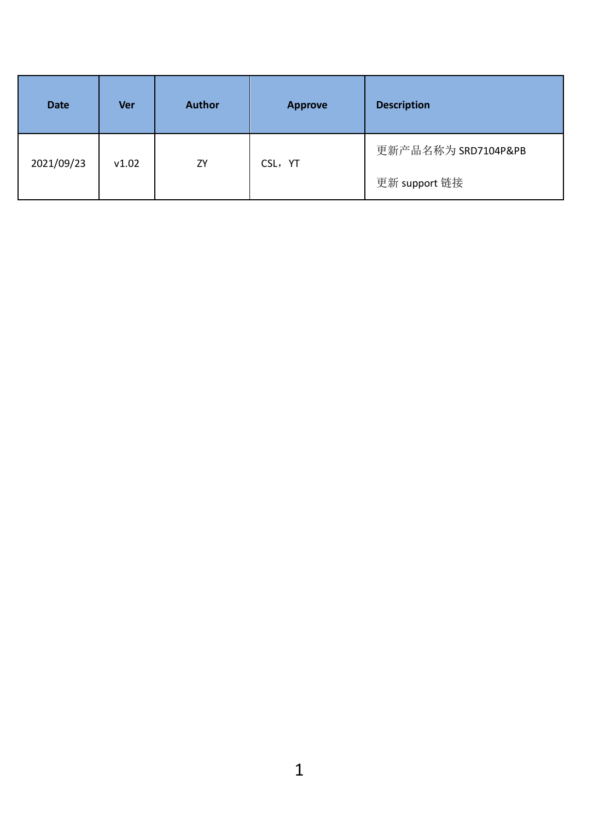| <b>Date</b> | <b>Ver</b> | Author | Approve | <b>Description</b>  |
|-------------|------------|--------|---------|---------------------|
| 2021/09/23  | v1.02      | ZY     | CSL, YT | 更新产品名称为 SRD7104P&PB |
|             |            |        |         | 更新 support 链接       |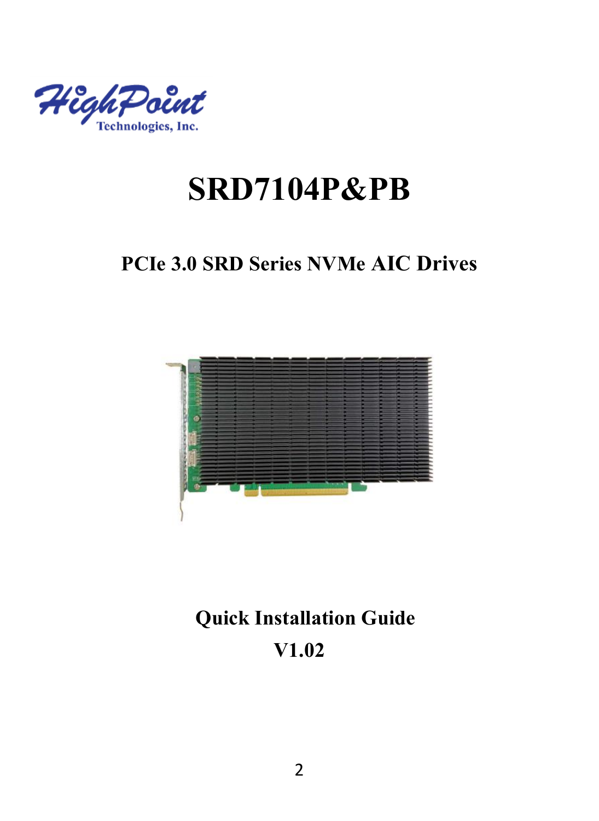

# **SRD7104P&PB**

## **PCIe 3.0 SRD Series NVMe AIC Drives**



# **Quick Installation Guide V1.02**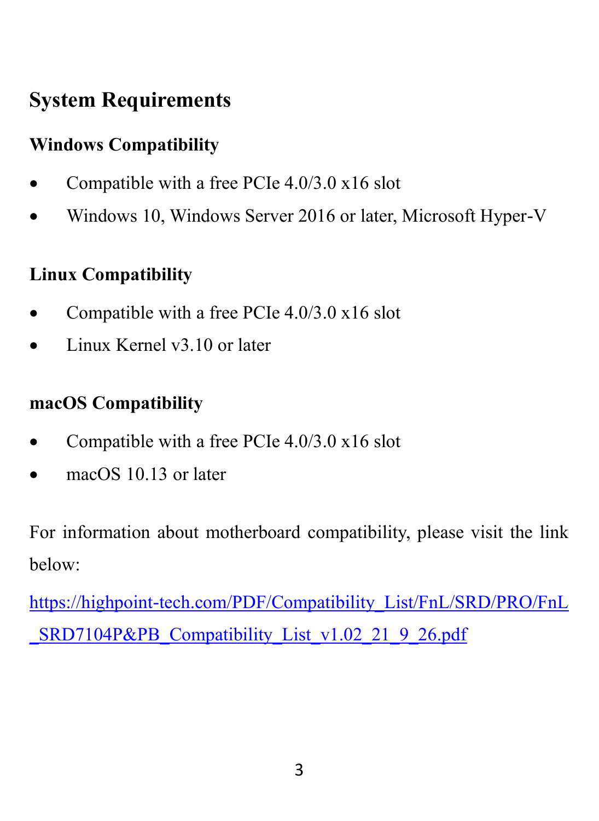# **System Requirements**

## **Windows Compatibility**

- Compatible with a free PCIe 4.0/3.0 x16 slot
- Windows 10, Windows Server 2016 or later, Microsoft Hyper-V

#### **Linux Compatibility**

- Compatible with a free PCIe 4.0/3.0 x16 slot
- Linux Kernel v3.10 or later

#### **macOS Compatibility**

- Compatible with a free PCIe 4.0/3.0 x16 slot
- macOS 10.13 or later

For information about motherboard compatibility, please visit the link below:

[https://highpoint-tech.com/PDF/Compatibility\\_List/FnL/SRD/PRO/FnL](https://highpoint-tech.com/PDF/Compatibility_List/FnL/SRD/PRO/FnL_SRD7104P&PB_Compatibility_List_v1.02_21_9_26.pdf) SRD7104P&PB\_Compatibility\_List\_v1.02\_21\_9\_26.pdf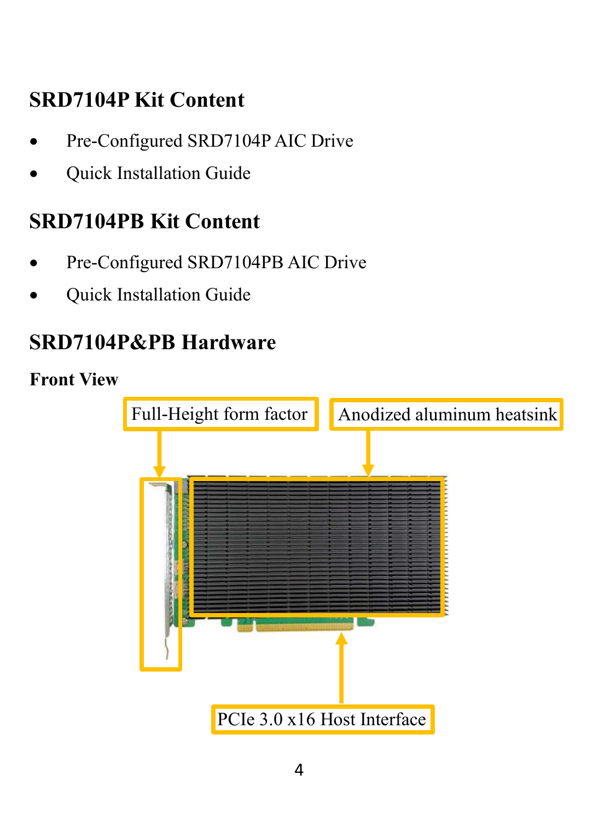# **SRD7104P Kit Content**

- Pre-Configured SRD7104P AIC Drive
- Quick Installation Guide

## **SRD7104PB Kit Content**

- Pre-Configured SRD7104PB AIC Drive
- Quick Installation Guide

# **SRD7104P&PB Hardware**

### **Front View**

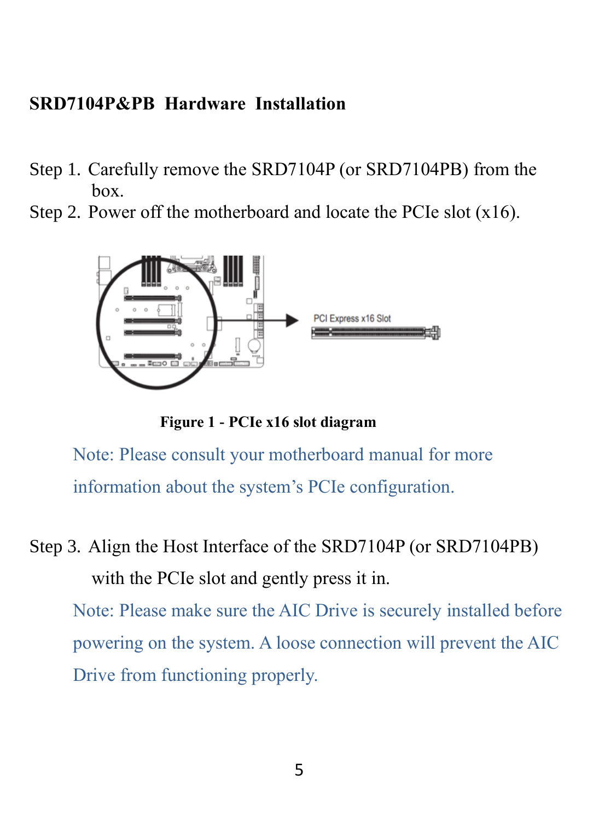#### **SRD7104P&PB Hardware Installation**

- Step 1. Carefully remove the SRD7104P (or SRD7104PB) from the  $h$ <sub>ox</sub>
- Step 2. Power off the motherboard and locate the PCIe slot (x16).



**Figure 1 - PCIe x16 slot diagram**

Note: Please consult your motherboard manual for more information about the system's PCIe configuration.

Step 3. Align the Host Interface of the SRD7104P (or SRD7104PB) with the PCIe slot and gently press it in.

Note: Please make sure the AIC Drive is securely installed before powering on the system. A loose connection will prevent the AIC Drive from functioning properly.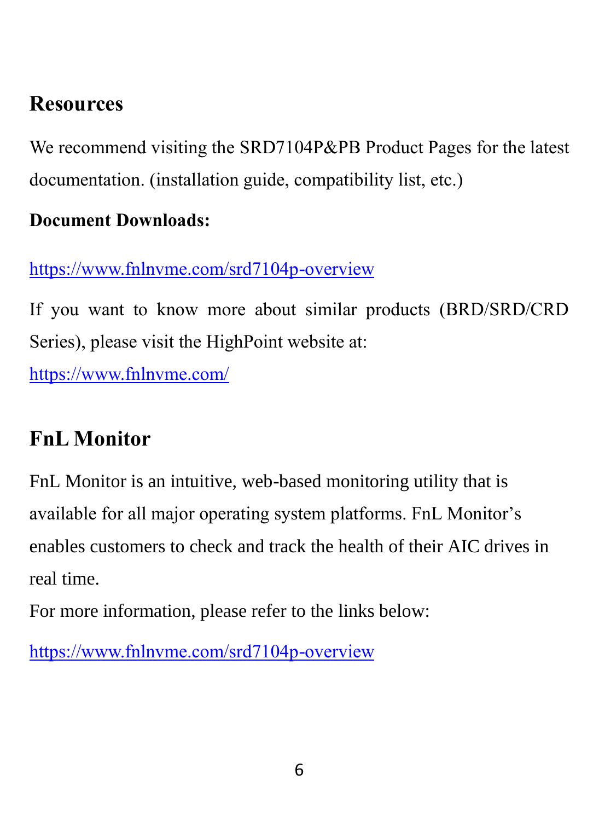## **Resources**

We recommend visiting the SRD7104P&PB Product Pages for the latest documentation. (installation guide, compatibility list, etc.)

#### **Document Downloads:**

<https://www.fnlnvme.com/srd7104p-overview>

If you want to know more about similar products (BRD/SRD/CRD Series), please visit the HighPoint website at:

<https://www.fnlnvme.com/>

## **FnL Monitor**

FnL Monitor is an intuitive, web-based monitoring utility that is available for all major operating system platforms. FnL Monitor's enables customers to check and track the health of their AIC drives in real time.

For more information, please refer to the links below:

<https://www.fnlnvme.com/srd7104p-overview>